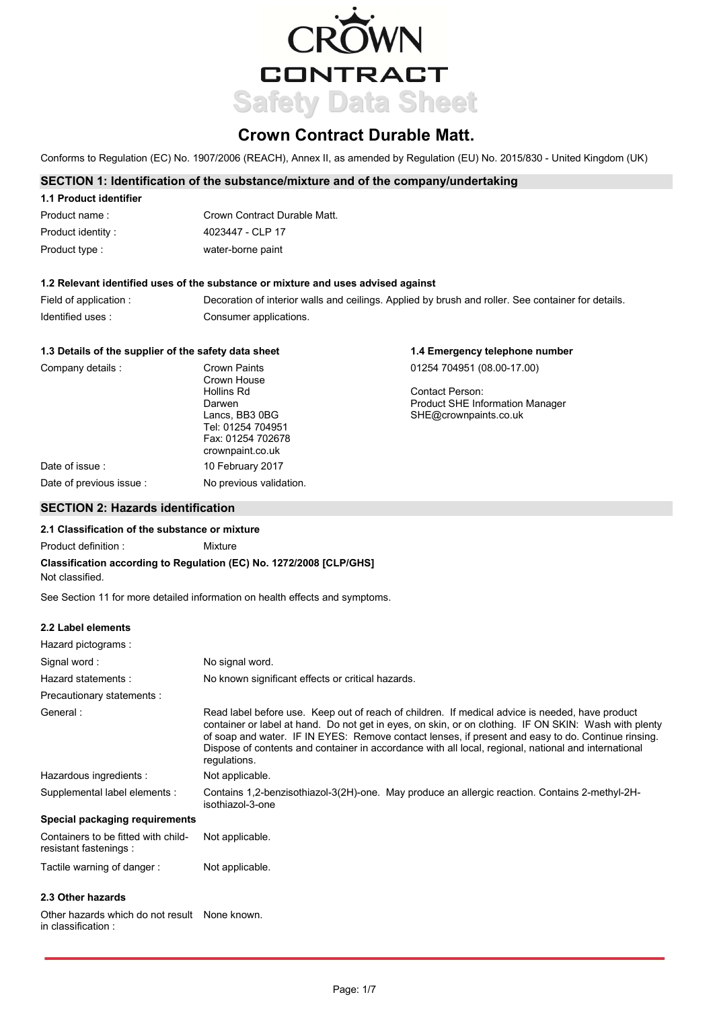

# **Crown Contract Durable Matt.**

Conforms to Regulation (EC) No. 1907/2006 (REACH), Annex II, as amended by Regulation (EU) No. 2015/830 - United Kingdom (UK)

# **SECTION 1: Identification of the substance/mixture and of the company/undertaking**

| 1.1 Product identifier |                              |
|------------------------|------------------------------|
| Product name:          | Crown Contract Durable Matt. |
| Product identity:      | 4023447 - CLP 17             |
| Product type:          | water-borne paint            |

## **1.2 Relevant identified uses of the substance or mixture and uses advised against**

| Field of application : | Decoration of interior walls and ceilings. Applied by brush and roller. See container for details. |
|------------------------|----------------------------------------------------------------------------------------------------|
| Identified uses:       | Consumer applications.                                                                             |

| 1.3 Details of the supplier of the safety data sheet |                                                                              | 1.4 Emergency telephone number         |  |
|------------------------------------------------------|------------------------------------------------------------------------------|----------------------------------------|--|
| Company details:                                     | Crown Paints<br>Crown House                                                  | 01254 704951 (08.00-17.00)             |  |
|                                                      | Hollins Rd                                                                   | Contact Person:                        |  |
|                                                      | Darwen                                                                       | <b>Product SHE Information Manager</b> |  |
|                                                      | Lancs, BB3 0BG<br>Tel: 01254 704951<br>Fax: 01254 702678<br>crownpaint.co.uk | SHE@crownpaints.co.uk                  |  |
| Date of issue:                                       | 10 February 2017                                                             |                                        |  |
| Date of previous issue                               | No previous validation.                                                      |                                        |  |

# **SECTION 2: Hazards identification**

## **2.1 Classification of the substance or mixture**

Product definition : Mixture

# **Classification according to Regulation (EC) No. 1272/2008 [CLP/GHS]**

Not classified.

See Section 11 for more detailed information on health effects and symptoms.

## **2.2 Label elements**

| Hazard pictograms:                                            |                                                                                                                                                                                                                                                                                                                                                                                                                                        |
|---------------------------------------------------------------|----------------------------------------------------------------------------------------------------------------------------------------------------------------------------------------------------------------------------------------------------------------------------------------------------------------------------------------------------------------------------------------------------------------------------------------|
| Signal word:                                                  | No signal word.                                                                                                                                                                                                                                                                                                                                                                                                                        |
| Hazard statements:                                            | No known significant effects or critical hazards.                                                                                                                                                                                                                                                                                                                                                                                      |
| Precautionary statements :                                    |                                                                                                                                                                                                                                                                                                                                                                                                                                        |
| General:                                                      | Read label before use. Keep out of reach of children. If medical advice is needed, have product<br>container or label at hand. Do not get in eyes, on skin, or on clothing. IF ON SKIN: Wash with plenty<br>of soap and water. IF IN EYES: Remove contact lenses, if present and easy to do. Continue rinsing.<br>Dispose of contents and container in accordance with all local, regional, national and international<br>regulations. |
| Hazardous ingredients :                                       | Not applicable.                                                                                                                                                                                                                                                                                                                                                                                                                        |
| Supplemental label elements :                                 | Contains 1,2-benzisothiazol-3(2H)-one. May produce an allergic reaction. Contains 2-methyl-2H-<br>isothiazol-3-one                                                                                                                                                                                                                                                                                                                     |
| Special packaging requirements                                |                                                                                                                                                                                                                                                                                                                                                                                                                                        |
| Containers to be fitted with child-<br>resistant fastenings : | Not applicable.                                                                                                                                                                                                                                                                                                                                                                                                                        |
| Tactile warning of danger:                                    | Not applicable.                                                                                                                                                                                                                                                                                                                                                                                                                        |
| 2.3 Other hazards                                             |                                                                                                                                                                                                                                                                                                                                                                                                                                        |

Other hazards which do not result None known. in classification :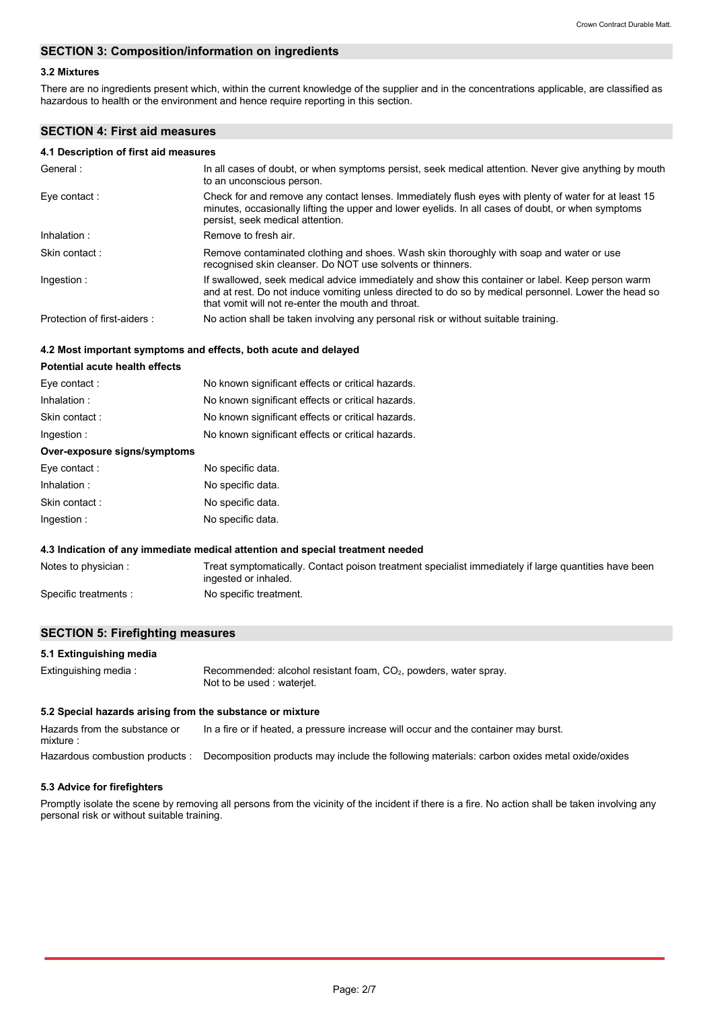## **SECTION 3: Composition/information on ingredients**

## **3.2 Mixtures**

There are no ingredients present which, within the current knowledge of the supplier and in the concentrations applicable, are classified as hazardous to health or the environment and hence require reporting in this section.

## **SECTION 4: First aid measures**

## **4.1 Description of first aid measures**

| General:                    | In all cases of doubt, or when symptoms persist, seek medical attention. Never give anything by mouth<br>to an unconscious person.                                                                                                                             |
|-----------------------------|----------------------------------------------------------------------------------------------------------------------------------------------------------------------------------------------------------------------------------------------------------------|
| Eye contact:                | Check for and remove any contact lenses. Immediately flush eyes with plenty of water for at least 15<br>minutes, occasionally lifting the upper and lower eyelids. In all cases of doubt, or when symptoms<br>persist, seek medical attention.                 |
| Inhalation:                 | Remove to fresh air.                                                                                                                                                                                                                                           |
| Skin contact:               | Remove contaminated clothing and shoes. Wash skin thoroughly with soap and water or use<br>recognised skin cleanser. Do NOT use solvents or thinners.                                                                                                          |
| Ingestion:                  | If swallowed, seek medical advice immediately and show this container or label. Keep person warm<br>and at rest. Do not induce vomiting unless directed to do so by medical personnel. Lower the head so<br>that vomit will not re-enter the mouth and throat. |
| Protection of first-aiders: | No action shall be taken involving any personal risk or without suitable training.                                                                                                                                                                             |

#### **4.2 Most important symptoms and effects, both acute and delayed**

| <b>Potential acute health effects</b> |                                                                                                                              |
|---------------------------------------|------------------------------------------------------------------------------------------------------------------------------|
| Eye contact:                          | No known significant effects or critical hazards.                                                                            |
| Inhalation:                           | No known significant effects or critical hazards.                                                                            |
| Skin contact:                         | No known significant effects or critical hazards.                                                                            |
| Ingestion:                            | No known significant effects or critical hazards.                                                                            |
| Over-exposure signs/symptoms          |                                                                                                                              |
| Eye contact:                          | No specific data.                                                                                                            |
| Inhalation:                           | No specific data.                                                                                                            |
| Skin contact:                         | No specific data.                                                                                                            |
| Ingestion:                            | No specific data.                                                                                                            |
|                                       | 4.3 Indication of any immediate medical attention and special treatment needed                                               |
| Notes to physician                    | Treat symptomatically. Contact poison treatment specialist immediately if large quantities have been<br>ingested or inhaled. |

Specific treatments : No specific treatment.

# **SECTION 5: Firefighting measures**

## **5.1 Extinguishing media**

| Extinguishing media: | Recommended: alcohol resistant foam, CO <sub>2</sub> , powders, water spray.<br>Not to be used : wateriet. |
|----------------------|------------------------------------------------------------------------------------------------------------|
|                      |                                                                                                            |

# **5.2 Special hazards arising from the substance or mixture**

Hazardous combustion products : Decomposition products may include the following materials: carbon oxides metal oxide/oxides Hazards from the substance or mixture : In a fire or if heated, a pressure increase will occur and the container may burst.

#### **5.3 Advice for firefighters**

Promptly isolate the scene by removing all persons from the vicinity of the incident if there is a fire. No action shall be taken involving any personal risk or without suitable training.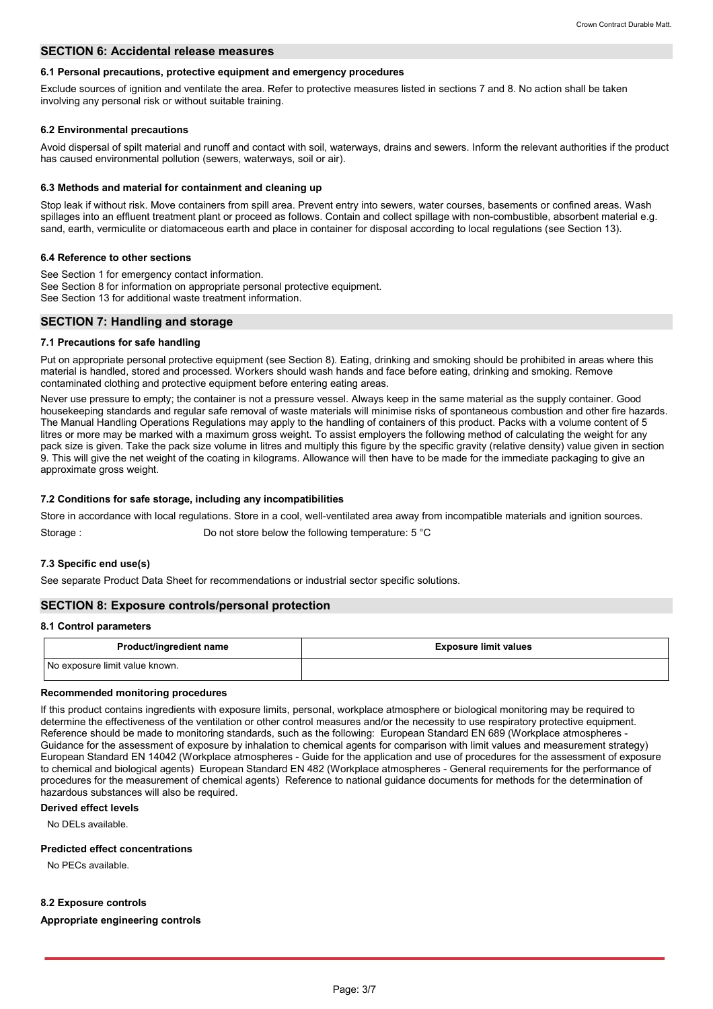#### **SECTION 6: Accidental release measures**

#### **6.1 Personal precautions, protective equipment and emergency procedures**

Exclude sources of ignition and ventilate the area. Refer to protective measures listed in sections 7 and 8. No action shall be taken involving any personal risk or without suitable training.

#### **6.2 Environmental precautions**

Avoid dispersal of spilt material and runoff and contact with soil, waterways, drains and sewers. Inform the relevant authorities if the product has caused environmental pollution (sewers, waterways, soil or air).

#### **6.3 Methods and material for containment and cleaning up**

Stop leak if without risk. Move containers from spill area. Prevent entry into sewers, water courses, basements or confined areas. Wash spillages into an effluent treatment plant or proceed as follows. Contain and collect spillage with non-combustible, absorbent material e.g. sand, earth, vermiculite or diatomaceous earth and place in container for disposal according to local regulations (see Section 13).

#### **6.4 Reference to other sections**

See Section 1 for emergency contact information. See Section 8 for information on appropriate personal protective equipment. See Section 13 for additional waste treatment information.

## **SECTION 7: Handling and storage**

#### **7.1 Precautions for safe handling**

Put on appropriate personal protective equipment (see Section 8). Eating, drinking and smoking should be prohibited in areas where this material is handled, stored and processed. Workers should wash hands and face before eating, drinking and smoking. Remove contaminated clothing and protective equipment before entering eating areas.

Never use pressure to empty; the container is not a pressure vessel. Always keep in the same material as the supply container. Good housekeeping standards and regular safe removal of waste materials will minimise risks of spontaneous combustion and other fire hazards. The Manual Handling Operations Regulations may apply to the handling of containers of this product. Packs with a volume content of 5 litres or more may be marked with a maximum gross weight. To assist employers the following method of calculating the weight for any pack size is given. Take the pack size volume in litres and multiply this figure by the specific gravity (relative density) value given in section 9. This will give the net weight of the coating in kilograms. Allowance will then have to be made for the immediate packaging to give an approximate gross weight.

#### **7.2 Conditions for safe storage, including any incompatibilities**

Store in accordance with local regulations. Store in a cool, well-ventilated area away from incompatible materials and ignition sources.

Storage : Do not store below the following temperature: 5 °C

## **7.3 Specific end use(s)**

See separate Product Data Sheet for recommendations or industrial sector specific solutions.

### **SECTION 8: Exposure controls/personal protection**

#### **8.1 Control parameters**

| <b>Product/ingredient name</b> | <b>Exposure limit values</b> |
|--------------------------------|------------------------------|
| No exposure limit value known. |                              |

### **Recommended monitoring procedures**

If this product contains ingredients with exposure limits, personal, workplace atmosphere or biological monitoring may be required to determine the effectiveness of the ventilation or other control measures and/or the necessity to use respiratory protective equipment. Reference should be made to monitoring standards, such as the following: European Standard EN 689 (Workplace atmospheres - Guidance for the assessment of exposure by inhalation to chemical agents for comparison with limit values and measurement strategy) European Standard EN 14042 (Workplace atmospheres - Guide for the application and use of procedures for the assessment of exposure to chemical and biological agents) European Standard EN 482 (Workplace atmospheres - General requirements for the performance of procedures for the measurement of chemical agents) Reference to national guidance documents for methods for the determination of hazardous substances will also be required.

## **Derived effect levels**

No DELs available.

#### **Predicted effect concentrations**

No PECs available.

#### **8.2 Exposure controls**

#### **Appropriate engineering controls**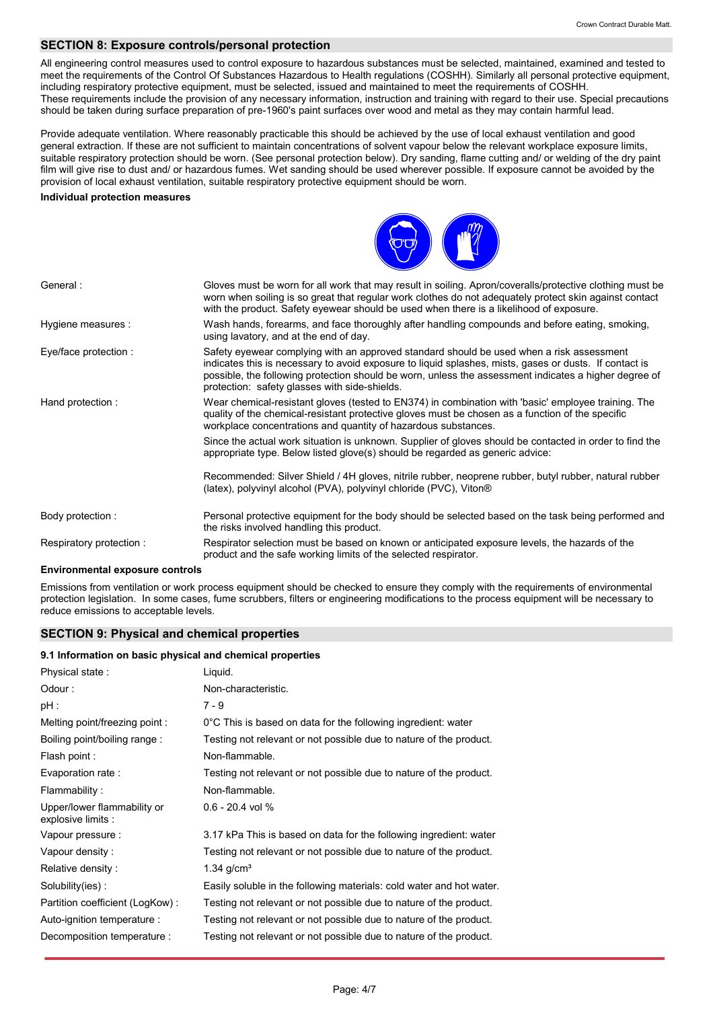# **SECTION 8: Exposure controls/personal protection**

All engineering control measures used to control exposure to hazardous substances must be selected, maintained, examined and tested to meet the requirements of the Control Of Substances Hazardous to Health regulations (COSHH). Similarly all personal protective equipment, including respiratory protective equipment, must be selected, issued and maintained to meet the requirements of COSHH. These requirements include the provision of any necessary information, instruction and training with regard to their use. Special precautions should be taken during surface preparation of pre-1960's paint surfaces over wood and metal as they may contain harmful lead.

Provide adequate ventilation. Where reasonably practicable this should be achieved by the use of local exhaust ventilation and good general extraction. If these are not sufficient to maintain concentrations of solvent vapour below the relevant workplace exposure limits, suitable respiratory protection should be worn. (See personal protection below). Dry sanding, flame cutting and/ or welding of the dry paint film will give rise to dust and/ or hazardous fumes. Wet sanding should be used wherever possible. If exposure cannot be avoided by the provision of local exhaust ventilation, suitable respiratory protective equipment should be worn.

#### **Individual protection measures**



| General:                | Gloves must be worn for all work that may result in soiling. Apron/coveralls/protective clothing must be<br>worn when soiling is so great that regular work clothes do not adequately protect skin against contact<br>with the product. Safety eyewear should be used when there is a likelihood of exposure.                                                |
|-------------------------|--------------------------------------------------------------------------------------------------------------------------------------------------------------------------------------------------------------------------------------------------------------------------------------------------------------------------------------------------------------|
| Hygiene measures :      | Wash hands, forearms, and face thoroughly after handling compounds and before eating, smoking,<br>using lavatory, and at the end of day.                                                                                                                                                                                                                     |
| Eye/face protection :   | Safety eyewear complying with an approved standard should be used when a risk assessment<br>indicates this is necessary to avoid exposure to liquid splashes, mists, gases or dusts. If contact is<br>possible, the following protection should be worn, unless the assessment indicates a higher degree of<br>protection: safety glasses with side-shields. |
| Hand protection:        | Wear chemical-resistant gloves (tested to EN374) in combination with 'basic' employee training. The<br>quality of the chemical-resistant protective gloves must be chosen as a function of the specific<br>workplace concentrations and quantity of hazardous substances.                                                                                    |
|                         | Since the actual work situation is unknown. Supplier of gloves should be contacted in order to find the<br>appropriate type. Below listed glove(s) should be regarded as generic advice:                                                                                                                                                                     |
|                         | Recommended: Silver Shield / 4H gloves, nitrile rubber, neoprene rubber, butyl rubber, natural rubber<br>(latex), polyvinyl alcohol (PVA), polyvinyl chloride (PVC), Viton®                                                                                                                                                                                  |
| Body protection :       | Personal protective equipment for the body should be selected based on the task being performed and<br>the risks involved handling this product.                                                                                                                                                                                                             |
| Respiratory protection: | Respirator selection must be based on known or anticipated exposure levels, the hazards of the<br>product and the safe working limits of the selected respirator.                                                                                                                                                                                            |

#### **Environmental exposure controls**

Emissions from ventilation or work process equipment should be checked to ensure they comply with the requirements of environmental protection legislation. In some cases, fume scrubbers, filters or engineering modifications to the process equipment will be necessary to reduce emissions to acceptable levels.

## **SECTION 9: Physical and chemical properties**

#### **9.1 Information on basic physical and chemical properties**

| Physical state:                                   | Liquid.                                                              |
|---------------------------------------------------|----------------------------------------------------------------------|
| Odour:                                            | Non-characteristic.                                                  |
| $pH$ :                                            | $7 - 9$                                                              |
| Melting point/freezing point:                     | 0°C This is based on data for the following ingredient: water        |
| Boiling point/boiling range:                      | Testing not relevant or not possible due to nature of the product.   |
| Flash point :                                     | Non-flammable.                                                       |
| Evaporation rate :                                | Testing not relevant or not possible due to nature of the product.   |
| Flammability:                                     | Non-flammable.                                                       |
| Upper/lower flammability or<br>explosive limits : | $0.6 - 20.4$ vol %                                                   |
| Vapour pressure :                                 | 3.17 kPa This is based on data for the following ingredient: water   |
| Vapour density:                                   | Testing not relevant or not possible due to nature of the product.   |
| Relative density:                                 | $1.34$ g/cm <sup>3</sup>                                             |
| Solubility(ies):                                  | Easily soluble in the following materials: cold water and hot water. |
| Partition coefficient (LogKow):                   | Testing not relevant or not possible due to nature of the product.   |
| Auto-ignition temperature :                       | Testing not relevant or not possible due to nature of the product.   |
| Decomposition temperature :                       | Testing not relevant or not possible due to nature of the product.   |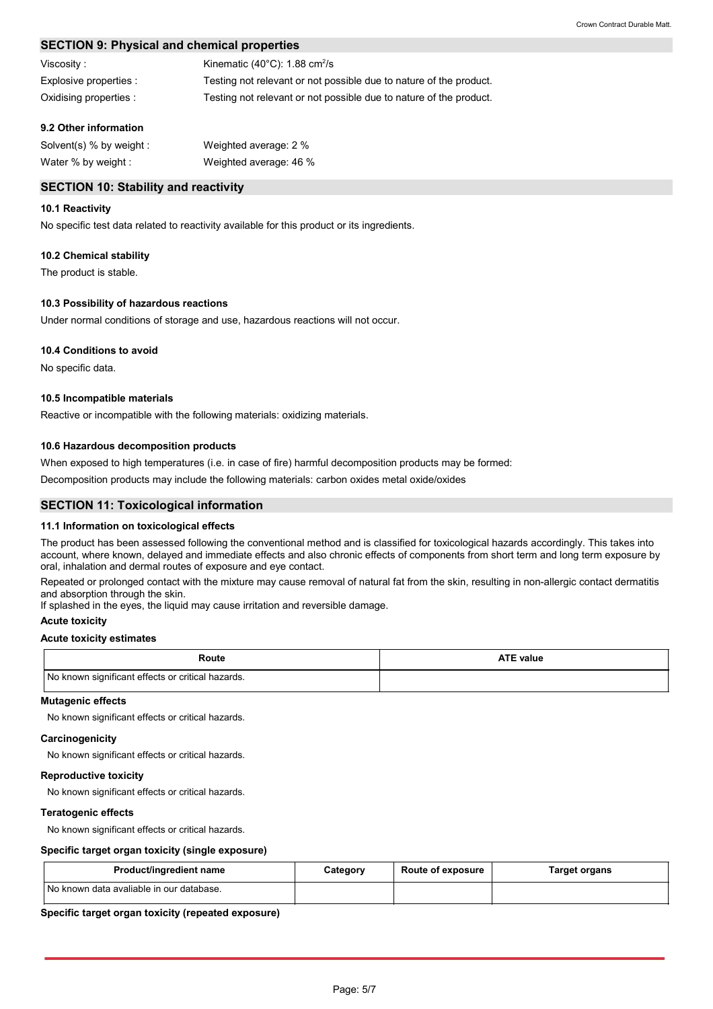# **SECTION 9: Physical and chemical properties**

| Viscosity :            | Kinematic $(40^{\circ}$ C): 1.88 cm <sup>2</sup> /s                |
|------------------------|--------------------------------------------------------------------|
| Explosive properties:  | Testing not relevant or not possible due to nature of the product. |
| Oxidising properties : | Testing not relevant or not possible due to nature of the product. |

## **9.2 Other information**

| Solvent(s) % by weight : | Weighted average: 2 %  |
|--------------------------|------------------------|
| Water % by weight :      | Weighted average: 46 % |

## **SECTION 10: Stability and reactivity**

## **10.1 Reactivity**

No specific test data related to reactivity available for this product or its ingredients.

## **10.2 Chemical stability**

The product is stable.

## **10.3 Possibility of hazardous reactions**

Under normal conditions of storage and use, hazardous reactions will not occur.

## **10.4 Conditions to avoid**

No specific data.

## **10.5 Incompatible materials**

Reactive or incompatible with the following materials: oxidizing materials.

## **10.6 Hazardous decomposition products**

When exposed to high temperatures (i.e. in case of fire) harmful decomposition products may be formed:

Decomposition products may include the following materials: carbon oxides metal oxide/oxides

# **SECTION 11: Toxicological information**

## **11.1 Information on toxicological effects**

The product has been assessed following the conventional method and is classified for toxicological hazards accordingly. This takes into account, where known, delayed and immediate effects and also chronic effects of components from short term and long term exposure by oral, inhalation and dermal routes of exposure and eye contact.

Repeated or prolonged contact with the mixture may cause removal of natural fat from the skin, resulting in non-allergic contact dermatitis and absorption through the skin.

If splashed in the eyes, the liquid may cause irritation and reversible damage.

### **Acute toxicity**

## **Acute toxicity estimates**

| Route                                             | <b>ATE value</b> |
|---------------------------------------------------|------------------|
| No known significant effects or critical hazards. |                  |

#### **Mutagenic effects**

No known significant effects or critical hazards.

#### **Carcinogenicity**

No known significant effects or critical hazards.

#### **Reproductive toxicity**

No known significant effects or critical hazards.

#### **Teratogenic effects**

No known significant effects or critical hazards.

#### **Specific target organ toxicity (single exposure)**

| Product/ingredient name                    | Category | <b>Route of exposure</b> | Target organs |
|--------------------------------------------|----------|--------------------------|---------------|
| I No known data avaliable in our database. |          |                          |               |

## **Specific target organ toxicity (repeated exposure)**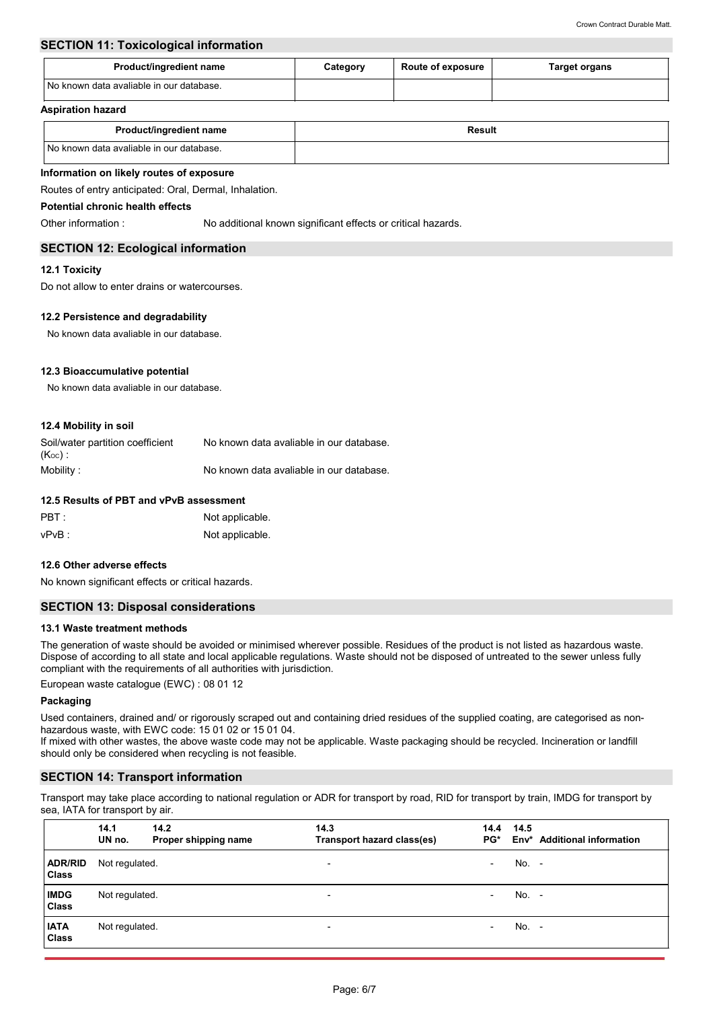# **SECTION 11: Toxicological information**

| Product/ingredient name                    | <b>Route of exposure</b><br>Category |  | Target organs |  |  |
|--------------------------------------------|--------------------------------------|--|---------------|--|--|
| I No known data avaliable in our database. |                                      |  |               |  |  |

#### **Aspiration hazard**

| Product/ingredient name                  | <b>Result</b> |
|------------------------------------------|---------------|
| No known data avaliable in our database. |               |

## **Information on likely routes of exposure**

Routes of entry anticipated: Oral, Dermal, Inhalation.

## **Potential chronic health effects**

Other information : No additional known significant effects or critical hazards.

## **SECTION 12: Ecological information**

## **12.1 Toxicity**

Do not allow to enter drains or watercourses.

## **12.2 Persistence and degradability**

No known data avaliable in our database.

## **12.3 Bioaccumulative potential**

No known data avaliable in our database.

## **12.4 Mobility in soil**

| Soil/water partition coefficient | No known data avaliable in our database. |
|----------------------------------|------------------------------------------|
| $(K_{OC})$ :                     |                                          |
| Mobility:                        | No known data avaliable in our database. |

## **12.5 Results of PBT and vPvB assessment**

| PBT:     | Not applicable. |
|----------|-----------------|
| $vPvB$ : | Not applicable. |

#### **12.6 Other adverse effects**

No known significant effects or critical hazards.

## **SECTION 13: Disposal considerations**

#### **13.1 Waste treatment methods**

The generation of waste should be avoided or minimised wherever possible. Residues of the product is not listed as hazardous waste. Dispose of according to all state and local applicable regulations. Waste should not be disposed of untreated to the sewer unless fully compliant with the requirements of all authorities with jurisdiction.

European waste catalogue (EWC) : 08 01 12

#### **Packaging**

Used containers, drained and/ or rigorously scraped out and containing dried residues of the supplied coating, are categorised as nonhazardous waste, with EWC code: 15 01 02 or 15 01 04.

If mixed with other wastes, the above waste code may not be applicable. Waste packaging should be recycled. Incineration or landfill should only be considered when recycling is not feasible.

## **SECTION 14: Transport information**

Transport may take place according to national regulation or ADR for transport by road, RID for transport by train, IMDG for transport by sea, IATA for transport by air.

|                                | 14.1<br>UN no. | 14.2<br>Proper shipping name | 14.3<br>Transport hazard class(es) | 14.4<br>PG*              | 14.5    | Env <sup>*</sup> Additional information |
|--------------------------------|----------------|------------------------------|------------------------------------|--------------------------|---------|-----------------------------------------|
| <b>ADR/RID</b><br><b>Class</b> | Not regulated. |                              | $\overline{\phantom{a}}$           | $\overline{\phantom{0}}$ | $No. -$ |                                         |
| <b>IMDG</b><br><b>Class</b>    | Not regulated. |                              | $\overline{\phantom{a}}$           | $\overline{\phantom{0}}$ | No. -   |                                         |
| <b>IATA</b><br><b>Class</b>    | Not regulated. |                              | $\overline{\phantom{a}}$           | $\overline{\phantom{0}}$ | $No. -$ |                                         |